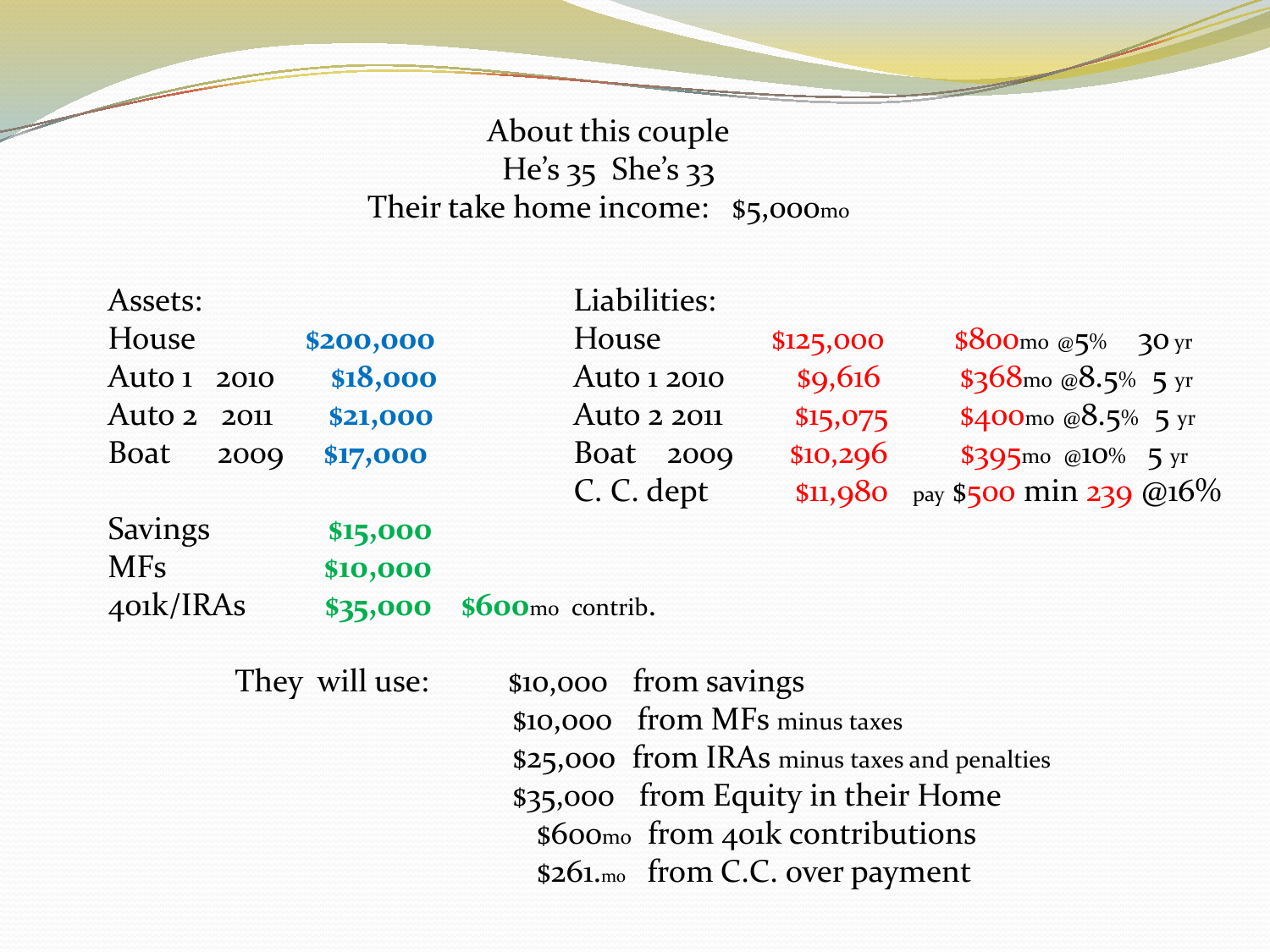## About this couple He's 35 She's 33 Their take home income: \$5,000mo

Z

| Assets:<br>House<br>Auto 1 2010<br>Auto 2 2011<br>Boat | 2009 | \$200,000<br>\$18,000<br>\$21,000<br>\$17,000 | Liabilities:<br>House<br>Auto 1 2010<br>Auto 2 2011<br>Boat 2009                                                                            |  | \$125,000<br>\$9,616<br>\$15,075<br>\$10,296 | \$800 <sub>mo@5%</sub> 30yr<br>\$368mo @8.5% 5 yr<br>\$400 <sub>mo</sub> $@8.5\%$ 5 yr<br>\$395mo @10% 5 yr |
|--------------------------------------------------------|------|-----------------------------------------------|---------------------------------------------------------------------------------------------------------------------------------------------|--|----------------------------------------------|-------------------------------------------------------------------------------------------------------------|
|                                                        |      |                                               | C. C. dept                                                                                                                                  |  |                                              | \$11,980 pay \$500 min 239 $@16\%$                                                                          |
| <b>Savings</b><br><b>MFs</b>                           |      | \$15,000<br>\$10,000                          |                                                                                                                                             |  |                                              |                                                                                                             |
| 401K/IRAs                                              |      | \$35,000                                      | \$600 <sub>mo</sub> contrib.                                                                                                                |  |                                              |                                                                                                             |
|                                                        |      | They will use:                                | \$10,000 from savings<br>\$10,000 from MFs minus taxes<br>$h_{\text{max}}$ and $\mu_{\text{max}}$ $\Gamma_{\text{max}}$ is the six He see s |  |                                              | \$25,000 from IRAs minus taxes and penalties                                                                |

\$35,000 from Equity in their Home

\$600mo from 401k contributions

\$261.mo from C.C. over payment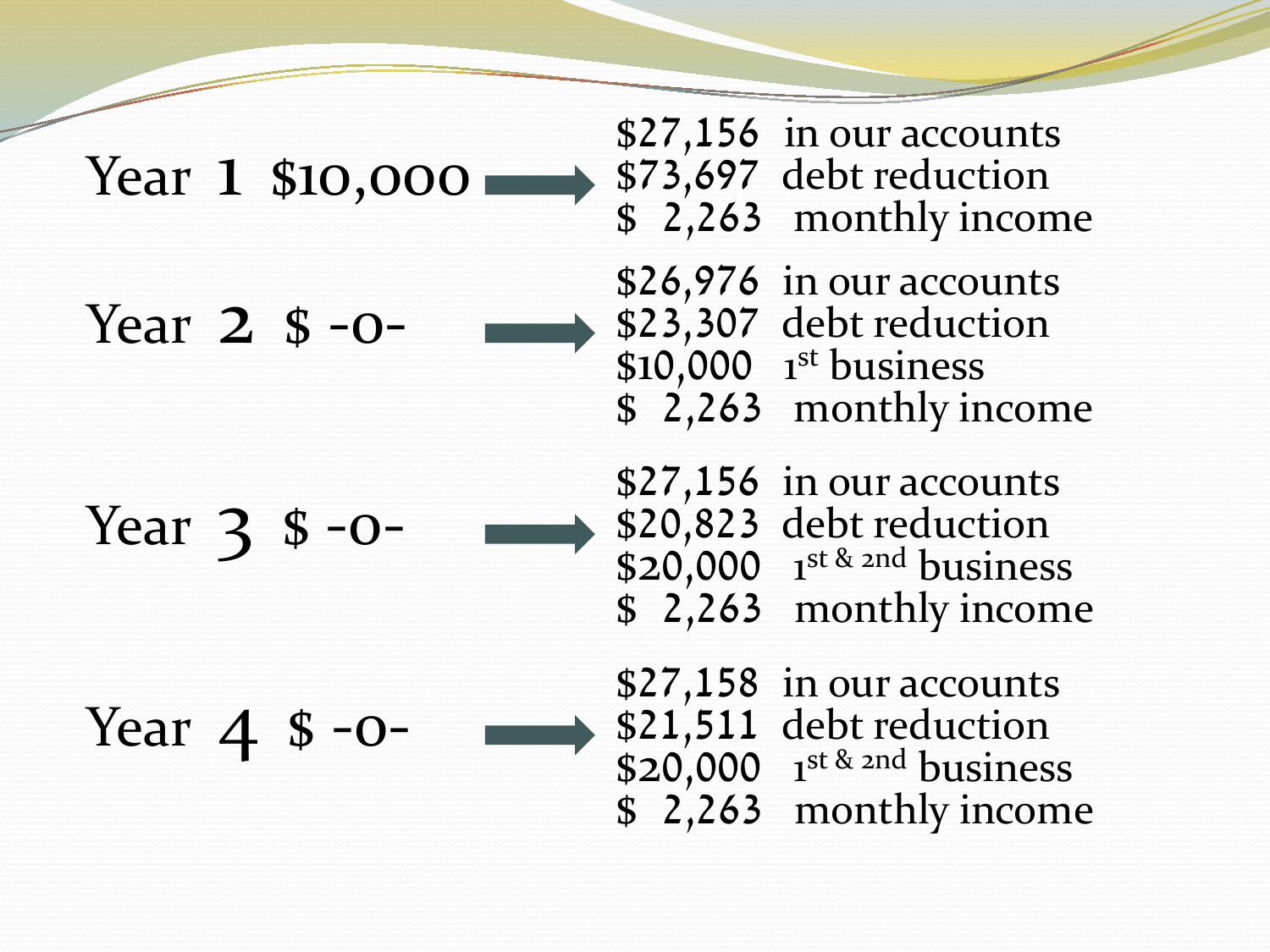| Year 1 \$10,000 | \$27,156 in our accounts<br>\$73,697 debt reduction<br>\$2,263 monthly income                                       |
|-----------------|---------------------------------------------------------------------------------------------------------------------|
| Year $2$ \$ -0- | \$26,976 in our accounts<br>\$23,307 debt reduction<br>$$10,000$ <sup>1st</sup> business<br>\$2,263 monthly income  |
| Year 3 \$ -0-   | $$27,156$ in our accounts<br>\$20,823 debt reduction<br>\$20,000 $1^{st \& 2nd}$ business<br>\$2,263 monthly income |
| Year $4$ \$ -0- | $$27,158$ in our accounts<br>\$21,511 debt reduction<br>\$20,000 $1^{st \& 2nd}$ business<br>\$2,263 monthly income |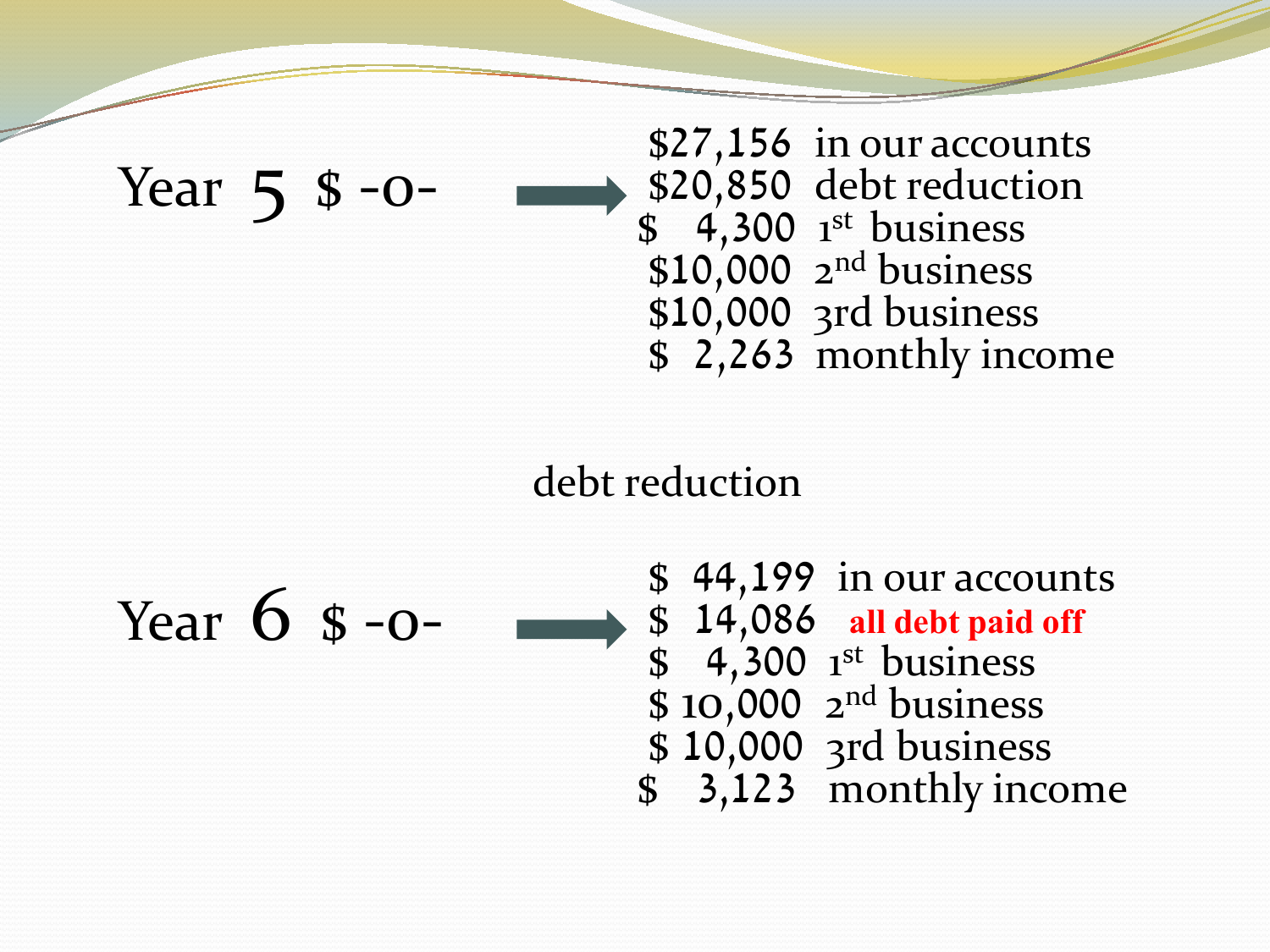Year  $\overline{5}$  \$ -0-<br>Year  $\overline{5}$  +0-<br> $\overline{5}$  +0-<br> $\overline{5}$  +  $\overline{20,850}$  debt reduction \$ 2,263 monthly income  $$10,000$  2<sup>nd</sup> business \$10,000 3rd business  $\frac{4}{300}$  1<sup>st</sup> business

## debt reduction

Year  $6 \text{ } s \rightarrow s$  44,199 in our accounts \$ 3,123 monthly income  $$ 10,000$  2<sup>nd</sup> business \$ 10,000 3rd business  $\frac{1}{3}$  4,300 1st business